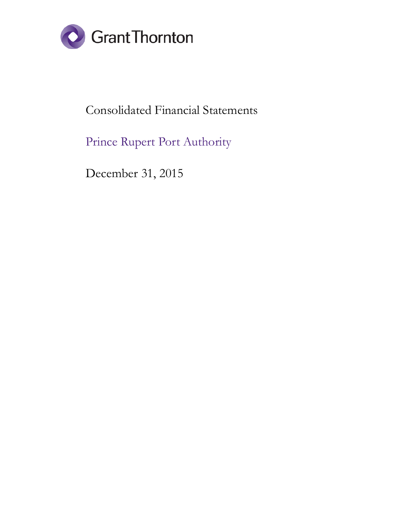

# Consolidated Financial Statements

Prince Rupert Port Authority

December 31, 2015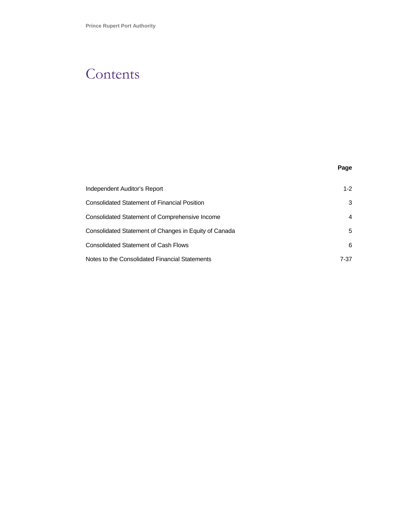# **Contents**

| . .<br>×<br>۰. |
|----------------|
|----------------|

| Independent Auditor's Report                          | $1 - 2$        |
|-------------------------------------------------------|----------------|
| <b>Consolidated Statement of Financial Position</b>   | 3              |
| Consolidated Statement of Comprehensive Income        | $\overline{4}$ |
| Consolidated Statement of Changes in Equity of Canada | 5              |
| Consolidated Statement of Cash Flows                  | 6              |
| Notes to the Consolidated Financial Statements        | 7-37           |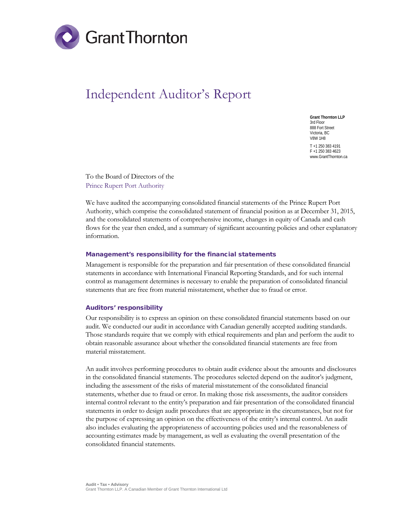

# Independent Auditor's Report

**Grant Thornton LLP** 3rd Floor 888 Fort Street Victoria, BC V8W 1H8 T +1 250 383 4191 F +1 250 383 4623 www.GrantThornton.ca

To the Board of Directors of the Prince Rupert Port Authority

We have audited the accompanying consolidated financial statements of the Prince Rupert Port Authority, which comprise the consolidated statement of financial position as at December 31, 2015, and the consolidated statements of comprehensive income, changes in equity of Canada and cash flows for the year then ended, and a summary of significant accounting policies and other explanatory information.

#### Management's responsibility for the financial statements

Management is responsible for the preparation and fair presentation of these consolidated financial statements in accordance with International Financial Reporting Standards, and for such internal control as management determines is necessary to enable the preparation of consolidated financial statements that are free from material misstatement, whether due to fraud or error.

### Auditors' responsibility

Our responsibility is to express an opinion on these consolidated financial statements based on our audit. We conducted our audit in accordance with Canadian generally accepted auditing standards. Those standards require that we comply with ethical requirements and plan and perform the audit to obtain reasonable assurance about whether the consolidated financial statements are free from material misstatement.

An audit involves performing procedures to obtain audit evidence about the amounts and disclosures in the consolidated financial statements. The procedures selected depend on the auditor's judgment, including the assessment of the risks of material misstatement of the consolidated financial statements, whether due to fraud or error. In making those risk assessments, the auditor considers internal control relevant to the entity's preparation and fair presentation of the consolidated financial statements in order to design audit procedures that are appropriate in the circumstances, but not for the purpose of expressing an opinion on the effectiveness of the entity's internal control. An audit also includes evaluating the appropriateness of accounting policies used and the reasonableness of accounting estimates made by management, as well as evaluating the overall presentation of the consolidated financial statements.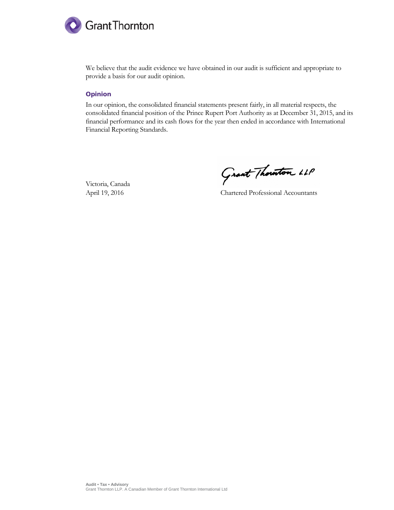

We believe that the audit evidence we have obtained in our audit is sufficient and appropriate to provide a basis for our audit opinion.

#### Opinion

In our opinion, the consolidated financial statements present fairly, in all material respects, the consolidated financial position of the Prince Rupert Port Authority as at December 31, 2015, and its financial performance and its cash flows for the year then ended in accordance with International Financial Reporting Standards.

Victoria, Canada

Grant Thouton LLP

April 19, 2016 Chartered Professional Accountants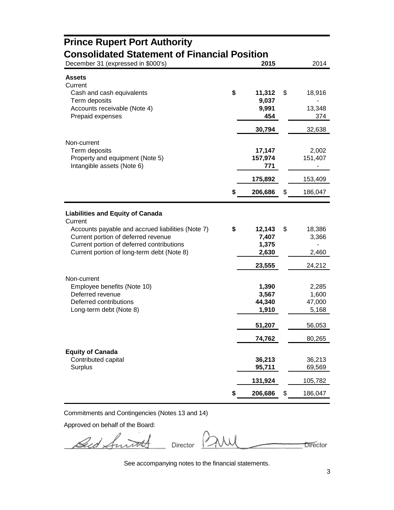| December 31 (expressed in \$000's)                                                                                                                                                  | 2015                                              | 2014                                     |
|-------------------------------------------------------------------------------------------------------------------------------------------------------------------------------------|---------------------------------------------------|------------------------------------------|
| <b>Assets</b>                                                                                                                                                                       |                                                   |                                          |
| Current<br>Cash and cash equivalents                                                                                                                                                | \$<br>11,312                                      | \$<br>18,916                             |
| Term deposits                                                                                                                                                                       | 9,037                                             |                                          |
| Accounts receivable (Note 4)                                                                                                                                                        | 9,991                                             | 13,348                                   |
| Prepaid expenses                                                                                                                                                                    | 454                                               | 374                                      |
|                                                                                                                                                                                     | 30,794                                            | 32,638                                   |
| Non-current                                                                                                                                                                         |                                                   |                                          |
| Term deposits                                                                                                                                                                       | 17,147                                            | 2,002                                    |
| Property and equipment (Note 5)<br>Intangible assets (Note 6)                                                                                                                       | 157,974<br>771                                    | 151,407                                  |
|                                                                                                                                                                                     | 175,892                                           | 153,409                                  |
|                                                                                                                                                                                     | 206,686                                           | \$<br>186,047                            |
| Accounts payable and accrued liabilities (Note 7)<br>Current portion of deferred revenue<br>Current portion of deferred contributions<br>Current portion of long-term debt (Note 8) | \$<br>12,143<br>7,407<br>1,375<br>2,630<br>23,555 | \$<br>18,386<br>3,366<br>2,460<br>24,212 |
| Non-current                                                                                                                                                                         |                                                   |                                          |
| Employee benefits (Note 10)                                                                                                                                                         | 1,390                                             | 2,285                                    |
| Deferred revenue                                                                                                                                                                    | 3,567                                             | 1,600                                    |
| Deferred contributions<br>Long-term debt (Note 8)                                                                                                                                   | 44,340<br>1,910                                   | 47,000<br>5,168                          |
|                                                                                                                                                                                     |                                                   |                                          |
|                                                                                                                                                                                     | 51,207                                            | 56,053                                   |
|                                                                                                                                                                                     | 74,762                                            | 80,265                                   |
| <b>Equity of Canada</b>                                                                                                                                                             |                                                   |                                          |
| Contributed capital                                                                                                                                                                 | 36,213                                            | 36,213                                   |
| Surplus                                                                                                                                                                             | 95,711                                            | 69,569                                   |
|                                                                                                                                                                                     | 131,924                                           | 105,782                                  |
|                                                                                                                                                                                     | \$<br>206,686                                     | \$<br>186,047                            |

Commitments and Contingencies (Notes 13 and 14)

Approved on behalf of the Board:

Bed Smooth **Director** Director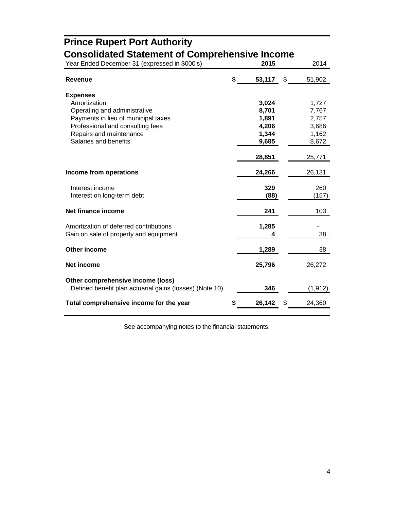| <b>Prince Rupert Port Authority</b><br><b>Consolidated Statement of Comprehensive Income</b><br>Year Ended December 31 (expressed in \$000's) | 2015         | 2014         |
|-----------------------------------------------------------------------------------------------------------------------------------------------|--------------|--------------|
| <b>Revenue</b>                                                                                                                                | \$<br>53,117 | \$<br>51,902 |
| <b>Expenses</b><br>Amortization                                                                                                               | 3,024        | 1,727        |
| Operating and administrative                                                                                                                  | 8,701        | 7,767        |
| Payments in lieu of municipal taxes                                                                                                           | 1,891        | 2,757        |
| Professional and consulting fees                                                                                                              | 4,206        | 3,686        |
| Repairs and maintenance                                                                                                                       | 1,344        | 1,162        |
| Salaries and benefits                                                                                                                         | 9,685        | 8,672        |
|                                                                                                                                               | 28,851       | 25,771       |
| Income from operations                                                                                                                        | 24,266       | 26,131       |
| Interest income                                                                                                                               | 329          | 260          |
| Interest on long-term debt                                                                                                                    | (88)         | (157)        |
|                                                                                                                                               |              |              |
| Net finance income                                                                                                                            | 241          | 103          |
| Amortization of deferred contributions                                                                                                        | 1,285        |              |
| Gain on sale of property and equipment                                                                                                        | 4            | 38           |
| Other income                                                                                                                                  | 1,289        | 38           |
|                                                                                                                                               |              |              |
| <b>Net income</b>                                                                                                                             | 25,796       | 26,272       |
| Other comprehensive income (loss)<br>Defined benefit plan actuarial gains (losses) (Note 10)                                                  | 346          | (1, 912)     |
| Total comprehensive income for the year                                                                                                       | \$<br>26,142 | \$<br>24,360 |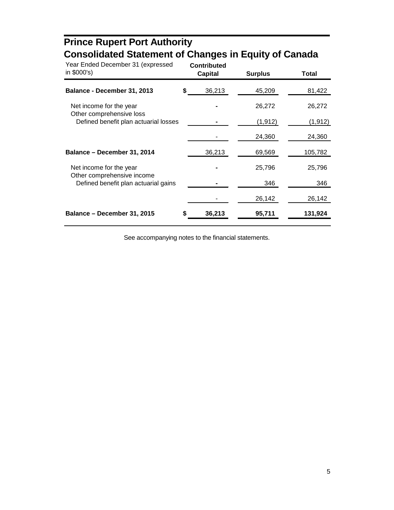# **Prince Rupert Port Authority Consolidated Statement of Changes in Equity of Canada**

| Year Ended December 31 (expressed<br>in $$000's)$                  | <b>Contributed</b><br><b>Capital</b> | <b>Surplus</b> | Total    |
|--------------------------------------------------------------------|--------------------------------------|----------------|----------|
| Balance - December 31, 2013                                        | 36,213                               | 45,209         | 81,422   |
| Net income for the year                                            |                                      | 26,272         | 26,272   |
| Other comprehensive loss<br>Defined benefit plan actuarial losses  |                                      | (1, 912)       | (1, 912) |
|                                                                    |                                      | 24,360         | 24,360   |
| Balance - December 31, 2014                                        | 36,213                               | 69,569         | 105,782  |
| Net income for the year                                            |                                      | 25,796         | 25,796   |
| Other comprehensive income<br>Defined benefit plan actuarial gains |                                      | 346            | 346      |
|                                                                    |                                      | 26,142         | 26,142   |
| Balance - December 31, 2015                                        | 36,213                               | 95,711         | 131,924  |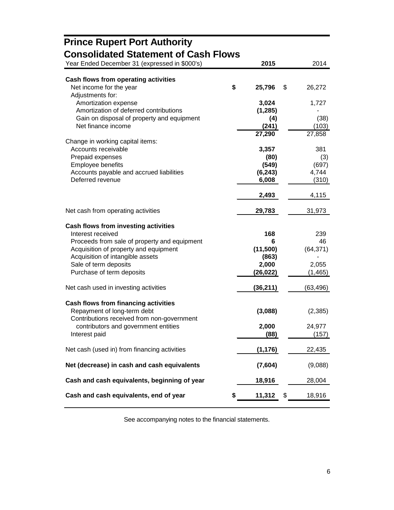| <b>Prince Rupert Port Authority</b>                                                          |                   |                   |
|----------------------------------------------------------------------------------------------|-------------------|-------------------|
| <b>Consolidated Statement of Cash Flows</b><br>Year Ended December 31 (expressed in \$000's) | 2015              | 2014              |
| Cash flows from operating activities                                                         |                   |                   |
| Net income for the year<br>Adjustments for:                                                  | \$<br>25,796      | \$<br>26,272      |
| Amortization expense                                                                         | 3,024             | 1,727             |
| Amortization of deferred contributions                                                       | (1, 285)          |                   |
| Gain on disposal of property and equipment<br>Net finance income                             | (4)<br>(241)      | (38)<br>(103)     |
|                                                                                              | 27,290            | 27,858            |
| Change in working capital items:                                                             |                   |                   |
| Accounts receivable                                                                          | 3,357             | 381               |
| Prepaid expenses<br>Employee benefits                                                        | (80)<br>(549)     | (3)<br>(697)      |
| Accounts payable and accrued liabilities                                                     | (6, 243)          | 4,744             |
| Deferred revenue                                                                             | 6,008             | (310)             |
|                                                                                              | 2,493             | 4,115             |
| Net cash from operating activities                                                           | 29,783            | 31,973            |
| Cash flows from investing activities                                                         |                   |                   |
| Interest received                                                                            | 168               | 239               |
| Proceeds from sale of property and equipment                                                 | 6                 | 46                |
| Acquisition of property and equipment                                                        | (11,500)          | (64, 371)         |
| Acquisition of intangible assets                                                             | (863)             |                   |
| Sale of term deposits<br>Purchase of term deposits                                           | 2,000<br>(26,022) | 2,055<br>(1, 465) |
| Net cash used in investing activities                                                        | (36,211)          | (63, 496)         |
|                                                                                              |                   |                   |
| <b>Cash flows from financing activities</b><br>Repayment of long-term debt                   | (3,088)           | (2,385)           |
| Contributions received from non-government                                                   |                   |                   |
| contributors and government entities                                                         | 2,000             | 24,977            |
| Interest paid                                                                                | (88)              | (157)             |
| Net cash (used in) from financing activities                                                 | (1, 176)          | 22,435            |
| Net (decrease) in cash and cash equivalents                                                  | (7,604)           | (9,088)           |
| Cash and cash equivalents, beginning of year                                                 | 18,916            | 28,004            |
| Cash and cash equivalents, end of year                                                       | \$<br>11,312      | \$<br>18,916      |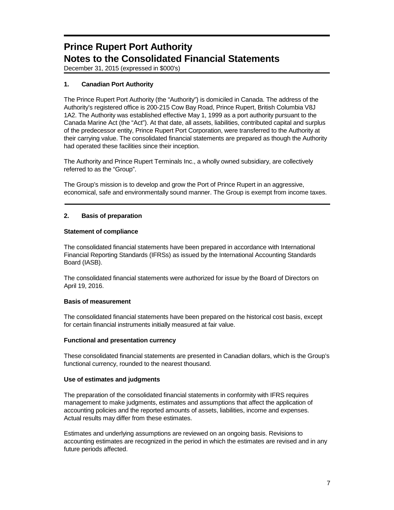December 31, 2015 (expressed in \$000's)

# **1. Canadian Port Authority**

The Prince Rupert Port Authority (the "Authority") is domiciled in Canada. The address of the Authority's registered office is 200-215 Cow Bay Road, Prince Rupert, British Columbia V8J 1A2. The Authority was established effective May 1, 1999 as a port authority pursuant to the Canada Marine Act (the "Act"). At that date, all assets, liabilities, contributed capital and surplus of the predecessor entity, Prince Rupert Port Corporation, were transferred to the Authority at their carrying value. The consolidated financial statements are prepared as though the Authority had operated these facilities since their inception.

The Authority and Prince Rupert Terminals Inc., a wholly owned subsidiary, are collectively referred to as the "Group".

The Group's mission is to develop and grow the Port of Prince Rupert in an aggressive, economical, safe and environmentally sound manner. The Group is exempt from income taxes.

# **2. Basis of preparation**

### **Statement of compliance**

The consolidated financial statements have been prepared in accordance with International Financial Reporting Standards (IFRSs) as issued by the International Accounting Standards Board (IASB).

The consolidated financial statements were authorized for issue by the Board of Directors on April 19, 2016.

# **Basis of measurement**

The consolidated financial statements have been prepared on the historical cost basis, except for certain financial instruments initially measured at fair value.

# **Functional and presentation currency**

These consolidated financial statements are presented in Canadian dollars, which is the Group's functional currency, rounded to the nearest thousand.

# **Use of estimates and judgments**

The preparation of the consolidated financial statements in conformity with IFRS requires management to make judgments, estimates and assumptions that affect the application of accounting policies and the reported amounts of assets, liabilities, income and expenses. Actual results may differ from these estimates.

Estimates and underlying assumptions are reviewed on an ongoing basis. Revisions to accounting estimates are recognized in the period in which the estimates are revised and in any future periods affected.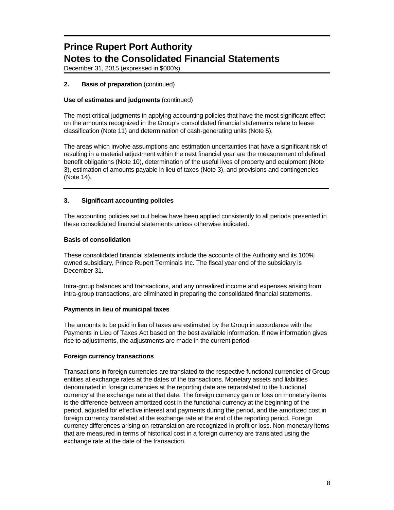December 31, 2015 (expressed in \$000's)

# **2. Basis of preparation** (continued)

# **Use of estimates and judgments** (continued)

The most critical judgments in applying accounting policies that have the most significant effect on the amounts recognized in the Group's consolidated financial statements relate to lease classification (Note 11) and determination of cash-generating units (Note 5).

The areas which involve assumptions and estimation uncertainties that have a significant risk of resulting in a material adjustment within the next financial year are the measurement of defined benefit obligations (Note 10), determination of the useful lives of property and equipment (Note 3), estimation of amounts payable in lieu of taxes (Note 3), and provisions and contingencies (Note 14).

# **3. Significant accounting policies**

The accounting policies set out below have been applied consistently to all periods presented in these consolidated financial statements unless otherwise indicated.

### **Basis of consolidation**

These consolidated financial statements include the accounts of the Authority and its 100% owned subsidiary, Prince Rupert Terminals Inc. The fiscal year end of the subsidiary is December 31.

Intra-group balances and transactions, and any unrealized income and expenses arising from intra-group transactions, are eliminated in preparing the consolidated financial statements.

# **Payments in lieu of municipal taxes**

The amounts to be paid in lieu of taxes are estimated by the Group in accordance with the Payments in Lieu of Taxes Act based on the best available information. If new information gives rise to adjustments, the adjustments are made in the current period.

# **Foreign currency transactions**

Transactions in foreign currencies are translated to the respective functional currencies of Group entities at exchange rates at the dates of the transactions. Monetary assets and liabilities denominated in foreign currencies at the reporting date are retranslated to the functional currency at the exchange rate at that date. The foreign currency gain or loss on monetary items is the difference between amortized cost in the functional currency at the beginning of the period, adjusted for effective interest and payments during the period, and the amortized cost in foreign currency translated at the exchange rate at the end of the reporting period. Foreign currency differences arising on retranslation are recognized in profit or loss. Non-monetary items that are measured in terms of historical cost in a foreign currency are translated using the exchange rate at the date of the transaction.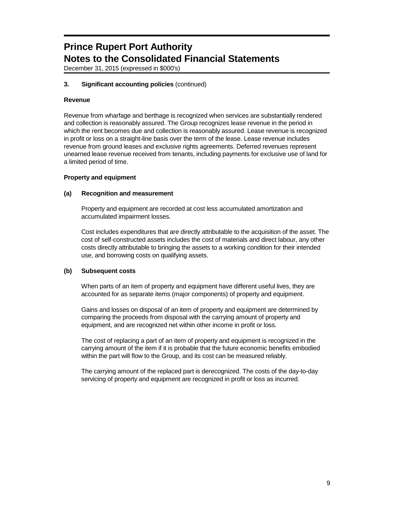December 31, 2015 (expressed in \$000's)

### **3. Significant accounting policies** (continued)

### **Revenue**

Revenue from wharfage and berthage is recognized when services are substantially rendered and collection is reasonably assured. The Group recognizes lease revenue in the period in which the rent becomes due and collection is reasonably assured. Lease revenue is recognized in profit or loss on a straight-line basis over the term of the lease. Lease revenue includes revenue from ground leases and exclusive rights agreements. Deferred revenues represent unearned lease revenue received from tenants, including payments for exclusive use of land for a limited period of time.

### **Property and equipment**

### **(a) Recognition and measurement**

Property and equipment are recorded at cost less accumulated amortization and accumulated impairment losses.

Cost includes expenditures that are directly attributable to the acquisition of the asset. The cost of self-constructed assets includes the cost of materials and direct labour, any other costs directly attributable to bringing the assets to a working condition for their intended use, and borrowing costs on qualifying assets.

### **(b) Subsequent costs**

When parts of an item of property and equipment have different useful lives, they are accounted for as separate items (major components) of property and equipment.

Gains and losses on disposal of an item of property and equipment are determined by comparing the proceeds from disposal with the carrying amount of property and equipment, and are recognized net within other income in profit or loss.

The cost of replacing a part of an item of property and equipment is recognized in the carrying amount of the item if it is probable that the future economic benefits embodied within the part will flow to the Group, and its cost can be measured reliably.

The carrying amount of the replaced part is derecognized. The costs of the day-to-day servicing of property and equipment are recognized in profit or loss as incurred.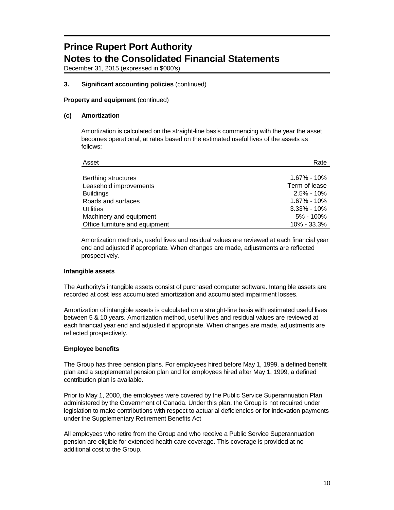December 31, 2015 (expressed in \$000's)

### **3. Significant accounting policies** (continued)

### **Property and equipment** (continued)

### **(c) Amortization**

Amortization is calculated on the straight-line basis commencing with the year the asset becomes operational, at rates based on the estimated useful lives of the assets as follows:

| Asset                          | Rate            |
|--------------------------------|-----------------|
|                                |                 |
| Berthing structures            | $1.67\% - 10\%$ |
| Leasehold improvements         | Term of lease   |
| <b>Buildings</b>               | $2.5\% - 10\%$  |
| Roads and surfaces             | $1.67\% - 10\%$ |
| Utilities                      | $3.33\% - 10\%$ |
| Machinery and equipment        | 5% - 100%       |
| Office furniture and equipment | 10% - 33.3%     |

Amortization methods, useful lives and residual values are reviewed at each financial year end and adjusted if appropriate. When changes are made, adjustments are reflected prospectively.

### **Intangible assets**

The Authority's intangible assets consist of purchased computer software. Intangible assets are recorded at cost less accumulated amortization and accumulated impairment losses.

Amortization of intangible assets is calculated on a straight-line basis with estimated useful lives between 5 & 10 years. Amortization method, useful lives and residual values are reviewed at each financial year end and adjusted if appropriate. When changes are made, adjustments are reflected prospectively.

# **Employee benefits**

The Group has three pension plans. For employees hired before May 1, 1999, a defined benefit plan and a supplemental pension plan and for employees hired after May 1, 1999, a defined contribution plan is available.

Prior to May 1, 2000, the employees were covered by the Public Service Superannuation Plan administered by the Government of Canada. Under this plan, the Group is not required under legislation to make contributions with respect to actuarial deficiencies or for indexation payments under the Supplementary Retirement Benefits Act

All employees who retire from the Group and who receive a Public Service Superannuation pension are eligible for extended health care coverage. This coverage is provided at no additional cost to the Group.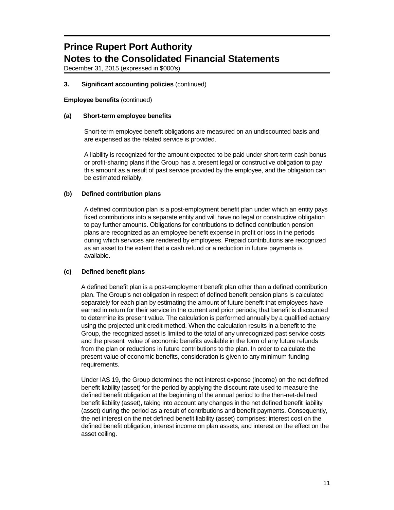December 31, 2015 (expressed in \$000's)

### **3. Significant accounting policies** (continued)

**Employee benefits** (continued)

### **(a) Short-term employee benefits**

Short-term employee benefit obligations are measured on an undiscounted basis and are expensed as the related service is provided.

A liability is recognized for the amount expected to be paid under short-term cash bonus or profit-sharing plans if the Group has a present legal or constructive obligation to pay this amount as a result of past service provided by the employee, and the obligation can be estimated reliably.

### **(b) Defined contribution plans**

A defined contribution plan is a post-employment benefit plan under which an entity pays fixed contributions into a separate entity and will have no legal or constructive obligation to pay further amounts. Obligations for contributions to defined contribution pension plans are recognized as an employee benefit expense in profit or loss in the periods during which services are rendered by employees. Prepaid contributions are recognized as an asset to the extent that a cash refund or a reduction in future payments is available.

# **(c) Defined benefit plans**

A defined benefit plan is a post-employment benefit plan other than a defined contribution plan. The Group's net obligation in respect of defined benefit pension plans is calculated separately for each plan by estimating the amount of future benefit that employees have earned in return for their service in the current and prior periods; that benefit is discounted to determine its present value. The calculation is performed annually by a qualified actuary using the projected unit credit method. When the calculation results in a benefit to the Group, the recognized asset is limited to the total of any unrecognized past service costs and the present value of economic benefits available in the form of any future refunds from the plan or reductions in future contributions to the plan. In order to calculate the present value of economic benefits, consideration is given to any minimum funding requirements.

Under IAS 19, the Group determines the net interest expense (income) on the net defined benefit liability (asset) for the period by applying the discount rate used to measure the defined benefit obligation at the beginning of the annual period to the then-net-defined benefit liability (asset), taking into account any changes in the net defined benefit liability (asset) during the period as a result of contributions and benefit payments. Consequently, the net interest on the net defined benefit liability (asset) comprises: interest cost on the defined benefit obligation, interest income on plan assets, and interest on the effect on the asset ceiling.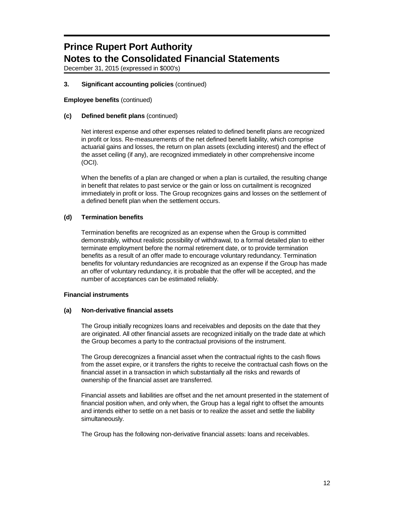December 31, 2015 (expressed in \$000's)

### **3. Significant accounting policies** (continued)

**Employee benefits** (continued)

### **(c) Defined benefit plans** (continued)

Net interest expense and other expenses related to defined benefit plans are recognized in profit or loss. Re-measurements of the net defined benefit liability, which comprise actuarial gains and losses, the return on plan assets (excluding interest) and the effect of the asset ceiling (if any), are recognized immediately in other comprehensive income (OCI).

When the benefits of a plan are changed or when a plan is curtailed, the resulting change in benefit that relates to past service or the gain or loss on curtailment is recognized immediately in profit or loss. The Group recognizes gains and losses on the settlement of a defined benefit plan when the settlement occurs.

### **(d) Termination benefits**

Termination benefits are recognized as an expense when the Group is committed demonstrably, without realistic possibility of withdrawal, to a formal detailed plan to either terminate employment before the normal retirement date, or to provide termination benefits as a result of an offer made to encourage voluntary redundancy. Termination benefits for voluntary redundancies are recognized as an expense if the Group has made an offer of voluntary redundancy, it is probable that the offer will be accepted, and the number of acceptances can be estimated reliably.

### **Financial instruments**

# **(a) Non-derivative financial assets**

The Group initially recognizes loans and receivables and deposits on the date that they are originated. All other financial assets are recognized initially on the trade date at which the Group becomes a party to the contractual provisions of the instrument.

The Group derecognizes a financial asset when the contractual rights to the cash flows from the asset expire, or it transfers the rights to receive the contractual cash flows on the financial asset in a transaction in which substantially all the risks and rewards of ownership of the financial asset are transferred.

Financial assets and liabilities are offset and the net amount presented in the statement of financial position when, and only when, the Group has a legal right to offset the amounts and intends either to settle on a net basis or to realize the asset and settle the liability simultaneously.

The Group has the following non-derivative financial assets: loans and receivables.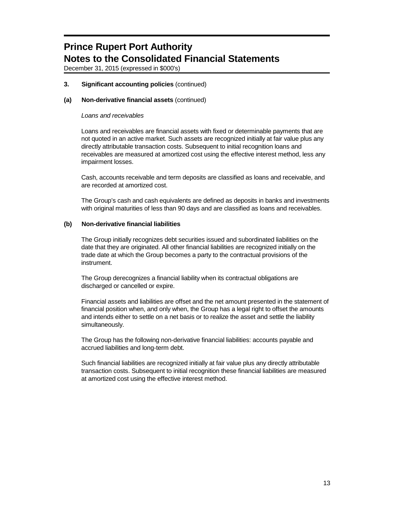December 31, 2015 (expressed in \$000's)

### **3. Significant accounting policies** (continued)

### **(a) Non-derivative financial assets** (continued)

### *Loans and receivables*

Loans and receivables are financial assets with fixed or determinable payments that are not quoted in an active market. Such assets are recognized initially at fair value plus any directly attributable transaction costs. Subsequent to initial recognition loans and receivables are measured at amortized cost using the effective interest method, less any impairment losses.

Cash, accounts receivable and term deposits are classified as loans and receivable, and are recorded at amortized cost.

The Group's cash and cash equivalents are defined as deposits in banks and investments with original maturities of less than 90 days and are classified as loans and receivables.

### **(b) Non-derivative financial liabilities**

The Group initially recognizes debt securities issued and subordinated liabilities on the date that they are originated. All other financial liabilities are recognized initially on the trade date at which the Group becomes a party to the contractual provisions of the instrument.

The Group derecognizes a financial liability when its contractual obligations are discharged or cancelled or expire.

Financial assets and liabilities are offset and the net amount presented in the statement of financial position when, and only when, the Group has a legal right to offset the amounts and intends either to settle on a net basis or to realize the asset and settle the liability simultaneously.

The Group has the following non-derivative financial liabilities: accounts payable and accrued liabilities and long-term debt.

Such financial liabilities are recognized initially at fair value plus any directly attributable transaction costs. Subsequent to initial recognition these financial liabilities are measured at amortized cost using the effective interest method.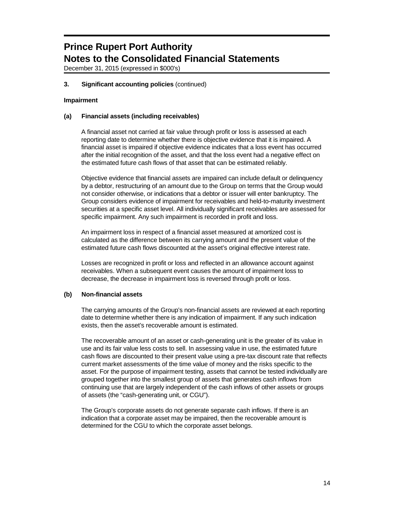December 31, 2015 (expressed in \$000's)

### **3. Significant accounting policies** (continued)

### **Impairment**

### **(a) Financial assets (including receivables)**

A financial asset not carried at fair value through profit or loss is assessed at each reporting date to determine whether there is objective evidence that it is impaired. A financial asset is impaired if objective evidence indicates that a loss event has occurred after the initial recognition of the asset, and that the loss event had a negative effect on the estimated future cash flows of that asset that can be estimated reliably.

Objective evidence that financial assets are impaired can include default or delinquency by a debtor, restructuring of an amount due to the Group on terms that the Group would not consider otherwise, or indications that a debtor or issuer will enter bankruptcy. The Group considers evidence of impairment for receivables and held-to-maturity investment securities at a specific asset level. All individually significant receivables are assessed for specific impairment. Any such impairment is recorded in profit and loss.

An impairment loss in respect of a financial asset measured at amortized cost is calculated as the difference between its carrying amount and the present value of the estimated future cash flows discounted at the asset's original effective interest rate.

Losses are recognized in profit or loss and reflected in an allowance account against receivables. When a subsequent event causes the amount of impairment loss to decrease, the decrease in impairment loss is reversed through profit or loss.

# **(b) Non-financial assets**

The carrying amounts of the Group's non-financial assets are reviewed at each reporting date to determine whether there is any indication of impairment. If any such indication exists, then the asset's recoverable amount is estimated.

The recoverable amount of an asset or cash-generating unit is the greater of its value in use and its fair value less costs to sell. In assessing value in use, the estimated future cash flows are discounted to their present value using a pre-tax discount rate that reflects current market assessments of the time value of money and the risks specific to the asset. For the purpose of impairment testing, assets that cannot be tested individually are grouped together into the smallest group of assets that generates cash inflows from continuing use that are largely independent of the cash inflows of other assets or groups of assets (the "cash-generating unit, or CGU").

The Group's corporate assets do not generate separate cash inflows. If there is an indication that a corporate asset may be impaired, then the recoverable amount is determined for the CGU to which the corporate asset belongs.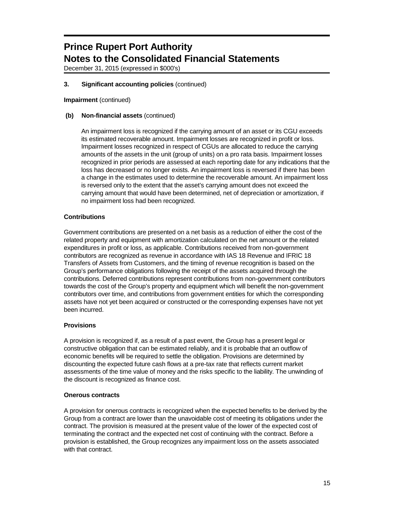December 31, 2015 (expressed in \$000's)

### **3. Significant accounting policies** (continued)

**Impairment** (continued)

### **(b) Non-financial assets** (continued)

An impairment loss is recognized if the carrying amount of an asset or its CGU exceeds its estimated recoverable amount. Impairment losses are recognized in profit or loss. Impairment losses recognized in respect of CGUs are allocated to reduce the carrying amounts of the assets in the unit (group of units) on a pro rata basis. Impairment losses recognized in prior periods are assessed at each reporting date for any indications that the loss has decreased or no longer exists. An impairment loss is reversed if there has been a change in the estimates used to determine the recoverable amount. An impairment loss is reversed only to the extent that the asset's carrying amount does not exceed the carrying amount that would have been determined, net of depreciation or amortization, if no impairment loss had been recognized.

### **Contributions**

Government contributions are presented on a net basis as a reduction of either the cost of the related property and equipment with amortization calculated on the net amount or the related expenditures in profit or loss, as applicable. Contributions received from non-government contributors are recognized as revenue in accordance with IAS 18 Revenue and IFRIC 18 Transfers of Assets from Customers, and the timing of revenue recognition is based on the Group's performance obligations following the receipt of the assets acquired through the contributions. Deferred contributions represent contributions from non-government contributors towards the cost of the Group's property and equipment which will benefit the non-government contributors over time, and contributions from government entities for which the corresponding assets have not yet been acquired or constructed or the corresponding expenses have not yet been incurred.

### **Provisions**

A provision is recognized if, as a result of a past event, the Group has a present legal or constructive obligation that can be estimated reliably, and it is probable that an outflow of economic benefits will be required to settle the obligation. Provisions are determined by discounting the expected future cash flows at a pre-tax rate that reflects current market assessments of the time value of money and the risks specific to the liability. The unwinding of the discount is recognized as finance cost.

### **Onerous contracts**

A provision for onerous contracts is recognized when the expected benefits to be derived by the Group from a contract are lower than the unavoidable cost of meeting its obligations under the contract. The provision is measured at the present value of the lower of the expected cost of terminating the contract and the expected net cost of continuing with the contract. Before a provision is established, the Group recognizes any impairment loss on the assets associated with that contract.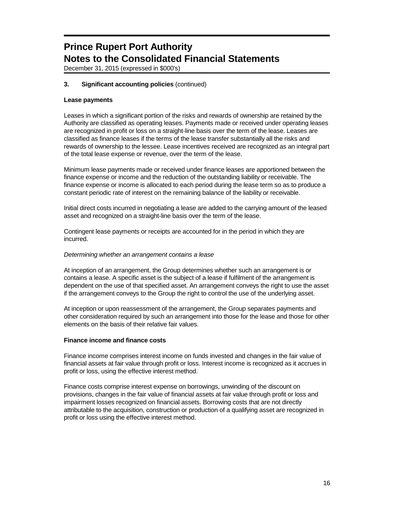December 31, 2015 (expressed in \$000's)

### **3. Significant accounting policies** (continued)

### **Lease payments**

Leases in which a significant portion of the risks and rewards of ownership are retained by the Authority are classified as operating leases. Payments made or received under operating leases are recognized in profit or loss on a straight-line basis over the term of the lease. Leases are classified as finance leases if the terms of the lease transfer substantially all the risks and rewards of ownership to the lessee. Lease incentives received are recognized as an integral part of the total lease expense or revenue, over the term of the lease.

Minimum lease payments made or received under finance leases are apportioned between the finance expense or income and the reduction of the outstanding liability or receivable. The finance expense or income is allocated to each period during the lease term so as to produce a constant periodic rate of interest on the remaining balance of the liability or receivable.

Initial direct costs incurred in negotiating a lease are added to the carrying amount of the leased asset and recognized on a straight-line basis over the term of the lease.

Contingent lease payments or receipts are accounted for in the period in which they are incurred.

### *Determining whether an arrangement contains a lease*

At inception of an arrangement, the Group determines whether such an arrangement is or contains a lease. A specific asset is the subject of a lease if fulfilment of the arrangement is dependent on the use of that specified asset. An arrangement conveys the right to use the asset if the arrangement conveys to the Group the right to control the use of the underlying asset.

At inception or upon reassessment of the arrangement, the Group separates payments and other consideration required by such an arrangement into those for the lease and those for other elements on the basis of their relative fair values.

### **Finance income and finance costs**

Finance income comprises interest income on funds invested and changes in the fair value of financial assets at fair value through profit or loss. Interest income is recognized as it accrues in profit or loss, using the effective interest method.

Finance costs comprise interest expense on borrowings, unwinding of the discount on provisions, changes in the fair value of financial assets at fair value through profit or loss and impairment losses recognized on financial assets. Borrowing costs that are not directly attributable to the acquisition, construction or production of a qualifying asset are recognized in profit or loss using the effective interest method.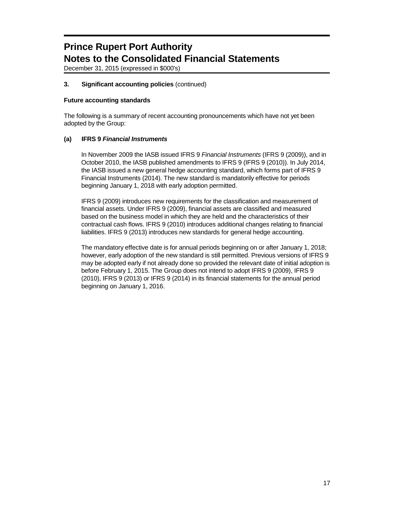December 31, 2015 (expressed in \$000's)

### **3. Significant accounting policies** (continued)

### **Future accounting standards**

The following is a summary of recent accounting pronouncements which have not yet been adopted by the Group:

### **(a) IFRS 9** *Financial Instruments*

In November 2009 the IASB issued IFRS 9 *Financial Instruments* (IFRS 9 (2009)), and in October 2010, the IASB published amendments to IFRS 9 (IFRS 9 (2010)). In July 2014, the IASB issued a new general hedge accounting standard, which forms part of IFRS 9 Financial Instruments (2014). The new standard is mandatorily effective for periods beginning January 1, 2018 with early adoption permitted.

IFRS 9 (2009) introduces new requirements for the classification and measurement of financial assets. Under IFRS 9 (2009), financial assets are classified and measured based on the business model in which they are held and the characteristics of their contractual cash flows. IFRS 9 (2010) introduces additional changes relating to financial liabilities. IFRS 9 (2013) introduces new standards for general hedge accounting.

The mandatory effective date is for annual periods beginning on or after January 1, 2018; however, early adoption of the new standard is still permitted. Previous versions of IFRS 9 may be adopted early if not already done so provided the relevant date of initial adoption is before February 1, 2015. The Group does not intend to adopt IFRS 9 (2009), IFRS 9 (2010), IFRS 9 (2013) or IFRS 9 (2014) in its financial statements for the annual period beginning on January 1, 2016.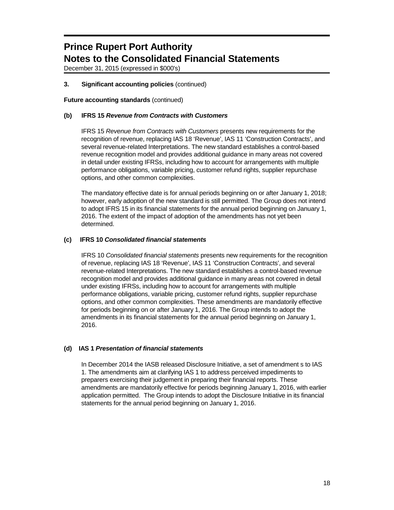December 31, 2015 (expressed in \$000's)

### **3. Significant accounting policies** (continued)

**Future accounting standards** (continued)

### **(b) IFRS 15** *Revenue from Contracts with Customers*

IFRS 15 *Revenue from Contracts with Customers* presents new requirements for the recognition of revenue, replacing IAS 18 'Revenue', IAS 11 'Construction Contracts', and several revenue-related Interpretations. The new standard establishes a control-based revenue recognition model and provides additional guidance in many areas not covered in detail under existing IFRSs, including how to account for arrangements with multiple performance obligations, variable pricing, customer refund rights, supplier repurchase options, and other common complexities.

The mandatory effective date is for annual periods beginning on or after January 1, 2018; however, early adoption of the new standard is still permitted. The Group does not intend to adopt IFRS 15 in its financial statements for the annual period beginning on January 1, 2016. The extent of the impact of adoption of the amendments has not yet been determined.

### **(c) IFRS 10** *Consolidated financial statements*

IFRS 10 *Consolidated financial statements* presents new requirements for the recognition of revenue, replacing IAS 18 'Revenue', IAS 11 'Construction Contracts', and several revenue-related Interpretations. The new standard establishes a control-based revenue recognition model and provides additional guidance in many areas not covered in detail under existing IFRSs, including how to account for arrangements with multiple performance obligations, variable pricing, customer refund rights, supplier repurchase options, and other common complexities. These amendments are mandatorily effective for periods beginning on or after January 1, 2016. The Group intends to adopt the amendments in its financial statements for the annual period beginning on January 1, 2016.

# **(d) IAS 1** *Presentation of financial statements*

In December 2014 the IASB released Disclosure Initiative, a set of amendment s to IAS 1. The amendments aim at clarifying IAS 1 to address perceived impediments to preparers exercising their judgement in preparing their financial reports. These amendments are mandatorily effective for periods beginning January 1, 2016, with earlier application permitted. The Group intends to adopt the Disclosure Initiative in its financial statements for the annual period beginning on January 1, 2016.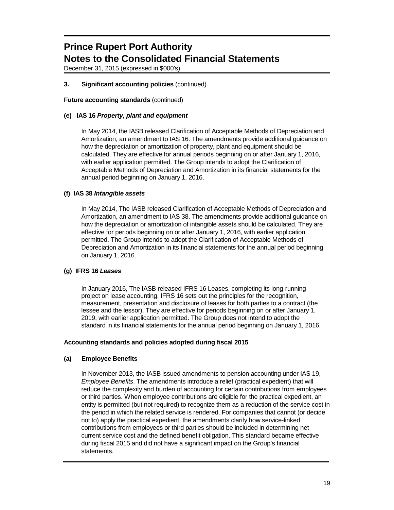December 31, 2015 (expressed in \$000's)

### **3. Significant accounting policies** (continued)

### **Future accounting standards** (continued)

### **(e) IAS 16** *Property, plant and equipment*

In May 2014, the IASB released Clarification of Acceptable Methods of Depreciation and Amortization, an amendment to IAS 16. The amendments provide additional guidance on how the depreciation or amortization of property, plant and equipment should be calculated. They are effective for annual periods beginning on or after January 1, 2016, with earlier application permitted. The Group intends to adopt the Clarification of Acceptable Methods of Depreciation and Amortization in its financial statements for the annual period beginning on January 1, 2016.

### **(f) IAS 38** *Intangible assets*

In May 2014, The IASB released Clarification of Acceptable Methods of Depreciation and Amortization, an amendment to IAS 38. The amendments provide additional guidance on how the depreciation or amortization of intangible assets should be calculated. They are effective for periods beginning on or after January 1, 2016, with earlier application permitted. The Group intends to adopt the Clarification of Acceptable Methods of Depreciation and Amortization in its financial statements for the annual period beginning on January 1, 2016.

### **(g) IFRS 16** *Leases*

In January 2016, The IASB released IFRS 16 Leases, completing its long-running project on lease accounting. IFRS 16 sets out the principles for the recognition, measurement, presentation and disclosure of leases for both parties to a contract (the lessee and the lessor). They are effective for periods beginning on or after January 1, 2019, with earlier application permitted. The Group does not intend to adopt the standard in its financial statements for the annual period beginning on January 1, 2016.

### **Accounting standards and policies adopted during fiscal 2015**

### **(a) Employee Benefits**

In November 2013, the IASB issued amendments to pension accounting under IAS 19, *Employee Benefits*. The amendments introduce a relief (practical expedient) that will reduce the complexity and burden of accounting for certain contributions from employees or third parties. When employee contributions are eligible for the practical expedient, an entity is permitted (but not required) to recognize them as a reduction of the service cost in the period in which the related service is rendered. For companies that cannot (or decide not to) apply the practical expedient, the amendments clarify how service-linked contributions from employees or third parties should be included in determining net current service cost and the defined benefit obligation. This standard became effective during fiscal 2015 and did not have a significant impact on the Group's financial statements.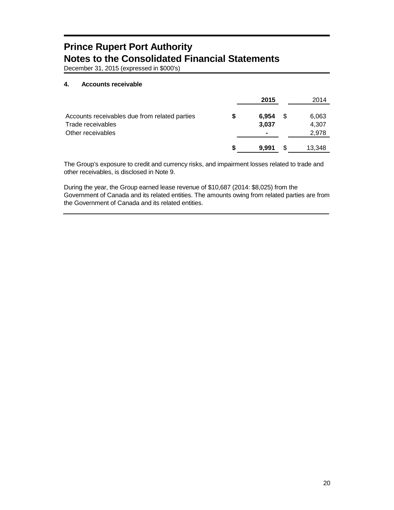December 31, 2015 (expressed in \$000's)

### **4. Accounts receivable**

|                                               | 2015           |   | 2014   |
|-----------------------------------------------|----------------|---|--------|
| Accounts receivables due from related parties | 6.954          | S | 6,063  |
| Trade receivables                             | 3,037          |   | 4,307  |
| Other receivables                             | $\blacksquare$ |   | 2,978  |
|                                               | 9.991          | S | 13,348 |

The Group's exposure to credit and currency risks, and impairment losses related to trade and other receivables, is disclosed in Note 9.

During the year, the Group earned lease revenue of \$10,687 (2014: \$8,025) from the Government of Canada and its related entities. The amounts owing from related parties are from the Government of Canada and its related entities.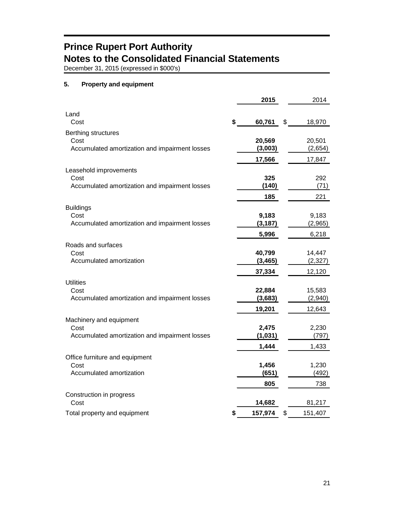December 31, 2015 (expressed in \$000's)

# **5. Property and equipment**

|                                                | 2015          | 2014          |
|------------------------------------------------|---------------|---------------|
| Land                                           |               |               |
| Cost                                           | \$<br>60,761  | \$<br>18,970  |
| Berthing structures                            |               |               |
| Cost                                           | 20,569        | 20,501        |
| Accumulated amortization and impairment losses | (3,003)       | (2,654)       |
|                                                | 17,566        | 17,847        |
| Leasehold improvements                         |               |               |
| Cost                                           | 325           | 292           |
| Accumulated amortization and impairment losses | (140)         | (71)          |
|                                                | 185           | 221           |
| <b>Buildings</b>                               |               |               |
| Cost                                           | 9,183         | 9,183         |
| Accumulated amortization and impairment losses | (3, 187)      | (2,965)       |
|                                                | 5,996         | 6,218         |
| Roads and surfaces                             |               |               |
| Cost                                           | 40,799        | 14,447        |
| Accumulated amortization                       | (3, 465)      | (2, 327)      |
|                                                | 37,334        | 12,120        |
| <b>Utilities</b>                               |               |               |
| Cost                                           | 22,884        | 15,583        |
| Accumulated amortization and impairment losses | (3,683)       | (2,940)       |
|                                                | 19,201        | 12,643        |
| Machinery and equipment                        |               |               |
| Cost                                           | 2,475         | 2,230         |
| Accumulated amortization and impairment losses | (1,031)       | (797)         |
|                                                | 1,444         | 1,433         |
| Office furniture and equipment                 |               |               |
| Cost                                           | 1,456         | 1,230         |
| Accumulated amortization                       | (651)         | (492)         |
|                                                | 805           | 738           |
| Construction in progress                       |               |               |
| Cost                                           | 14,682        | 81,217        |
| Total property and equipment                   | \$<br>157,974 | \$<br>151,407 |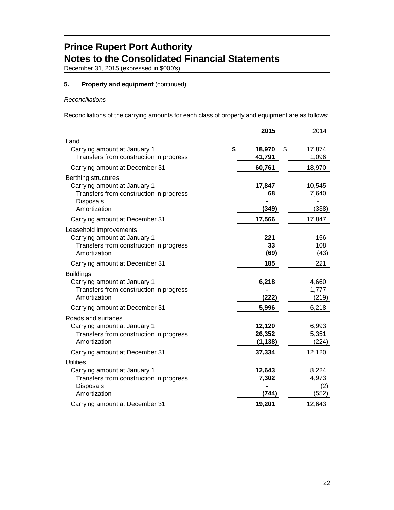December 31, 2015 (expressed in \$000's)

### **5. Property and equipment** (continued)

### *Reconciliations*

Reconciliations of the carrying amounts for each class of property and equipment are as follows:

|                                         | 2015         | 2014         |
|-----------------------------------------|--------------|--------------|
| Land                                    |              |              |
| Carrying amount at January 1            | \$<br>18,970 | \$<br>17,874 |
| Transfers from construction in progress | 41,791       | 1,096        |
| Carrying amount at December 31          | 60,761       | 18,970       |
| <b>Berthing structures</b>              |              |              |
| Carrying amount at January 1            | 17,847       | 10,545       |
| Transfers from construction in progress | 68           | 7,640        |
| Disposals                               |              |              |
| Amortization                            | (349)        | (338)        |
| Carrying amount at December 31          | 17,566       | 17,847       |
| Leasehold improvements                  |              |              |
| Carrying amount at January 1            | 221          | 156          |
| Transfers from construction in progress | 33           | 108          |
| Amortization                            | (69)         | (43)         |
| Carrying amount at December 31          | 185          | 221          |
| <b>Buildings</b>                        |              |              |
| Carrying amount at January 1            | 6,218        | 4,660        |
| Transfers from construction in progress |              | 1,777        |
| Amortization                            | (222)        | (219)        |
| Carrying amount at December 31          | 5,996        | 6,218        |
| Roads and surfaces                      |              |              |
| Carrying amount at January 1            | 12,120       | 6,993        |
| Transfers from construction in progress | 26,352       | 5,351        |
| Amortization                            | (1, 138)     | (224)        |
| Carrying amount at December 31          | 37,334       | 12,120       |
| <b>Utilities</b>                        |              |              |
| Carrying amount at January 1            | 12,643       | 8,224        |
| Transfers from construction in progress | 7,302        | 4,973        |
| Disposals<br>Amortization               | (744)        | (2)<br>(552) |
|                                         |              |              |
| Carrying amount at December 31          | 19,201       | 12,643       |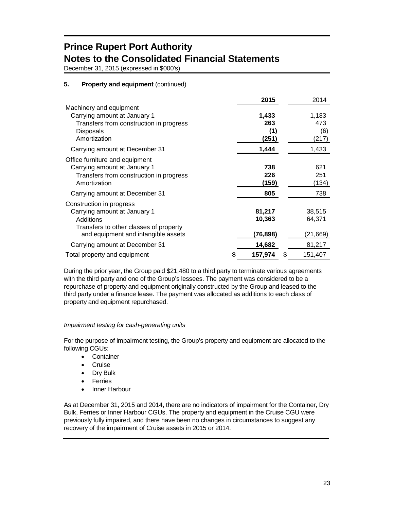December 31, 2015 (expressed in \$000's)

# **5. Property and equipment** (continued)

|                                                                                                                                        | 2015                         | 2014                         |
|----------------------------------------------------------------------------------------------------------------------------------------|------------------------------|------------------------------|
| Machinery and equipment<br>Carrying amount at January 1<br>Transfers from construction in progress<br><b>Disposals</b><br>Amortization | 1,433<br>263<br>(1)<br>(251) | 1.183<br>473<br>(6)<br>(217) |
| Carrying amount at December 31                                                                                                         | 1,444                        | 1,433                        |
| Office furniture and equipment<br>Carrying amount at January 1<br>Transfers from construction in progress<br>Amortization              | 738<br>226<br>(159)          | 621<br>251<br>(134)          |
| Carrying amount at December 31                                                                                                         | 805                          | 738                          |
| Construction in progress<br>Carrying amount at January 1<br>Additions<br>Transfers to other classes of property                        | 81,217<br>10,363             | 38,515<br>64,371             |
| and equipment and intangible assets                                                                                                    | (76,898)                     | (21,669)                     |
| Carrying amount at December 31                                                                                                         | 14,682                       | 81,217                       |
| Total property and equipment                                                                                                           | 157,974                      | \$<br>151,407                |

During the prior year, the Group paid \$21,480 to a third party to terminate various agreements with the third party and one of the Group's lessees. The payment was considered to be a repurchase of property and equipment originally constructed by the Group and leased to the third party under a finance lease. The payment was allocated as additions to each class of property and equipment repurchased.

# *Impairment testing for cash-generating units*

For the purpose of impairment testing, the Group's property and equipment are allocated to the following CGUs:

- Container
- Cruise
- Dry Bulk
- Ferries
- Inner Harbour

As at December 31, 2015 and 2014, there are no indicators of impairment for the Container, Dry Bulk, Ferries or Inner Harbour CGUs. The property and equipment in the Cruise CGU were previously fully impaired, and there have been no changes in circumstances to suggest any recovery of the impairment of Cruise assets in 2015 or 2014.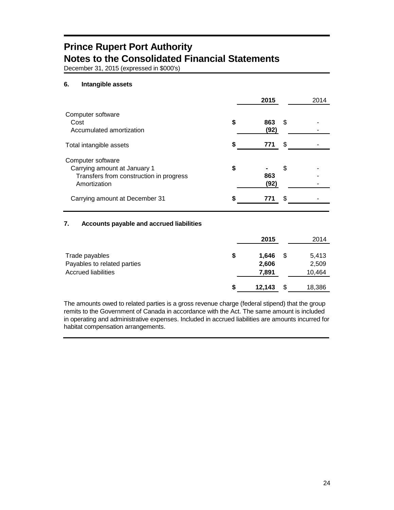December 31, 2015 (expressed in \$000's)

### **6. Intangible assets**

|                                         |   | 2015 |    | 2014 |
|-----------------------------------------|---|------|----|------|
| Computer software                       |   |      |    |      |
| Cost                                    | S | 863  | S  |      |
| Accumulated amortization                |   | (92) |    |      |
| Total intangible assets                 | S | 771  | S  |      |
| Computer software                       |   |      |    |      |
| Carrying amount at January 1            |   |      | \$ |      |
| Transfers from construction in progress |   | 863  |    |      |
| Amortization                            |   | (92) |    |      |
| Carrying amount at December 31          |   | 771  | \$ |      |

# **7. Accounts payable and accrued liabilities**

|                             |   | 2015   |    | 2014   |
|-----------------------------|---|--------|----|--------|
| Trade payables              | S | 1.646  | S  | 5,413  |
| Payables to related parties |   | 2,606  |    | 2,509  |
| <b>Accrued liabilities</b>  |   | 7,891  |    | 10,464 |
|                             | S | 12,143 | \$ | 18,386 |

The amounts owed to related parties is a gross revenue charge (federal stipend) that the group remits to the Government of Canada in accordance with the Act. The same amount is included in operating and administrative expenses. Included in accrued liabilities are amounts incurred for habitat compensation arrangements.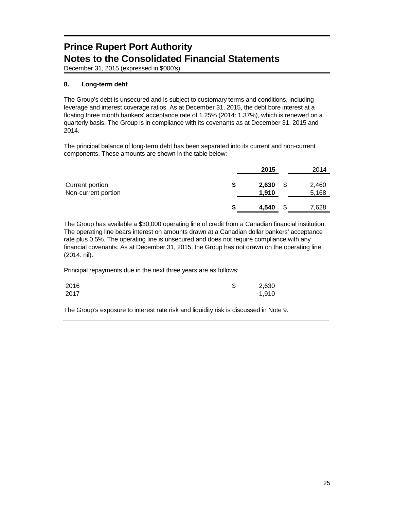December 31, 2015 (expressed in \$000's)

# **8. Long-term debt**

The Group's debt is unsecured and is subject to customary terms and conditions, including leverage and interest coverage ratios. As at December 31, 2015, the debt bore interest at a floating three month bankers' acceptance rate of 1.25% (2014: 1.37%), which is renewed on a quarterly basis. The Group is in compliance with its covenants as at December 31, 2015 and 2014.

The principal balance of long-term debt has been separated into its current and non-current components. These amounts are shown in the table below:

|                                        |    | 2015           | 2014                 |
|----------------------------------------|----|----------------|----------------------|
| Current portion<br>Non-current portion | \$ | 2,630<br>1,910 | \$<br>2,460<br>5,168 |
|                                        | S  | 4,540          | 7,628                |

The Group has available a \$30,000 operating line of credit from a Canadian financial institution. The operating line bears interest on amounts drawn at a Canadian dollar bankers' acceptance rate plus 0.5%. The operating line is unsecured and does not require compliance with any financial covenants. As at December 31, 2015, the Group has not drawn on the operating line (2014: nil).

Principal repayments due in the next three years are as follows:

| 2016 | \$<br>2,630 |
|------|-------------|
| 2017 | 1,910       |

The Group's exposure to interest rate risk and liquidity risk is discussed in Note 9.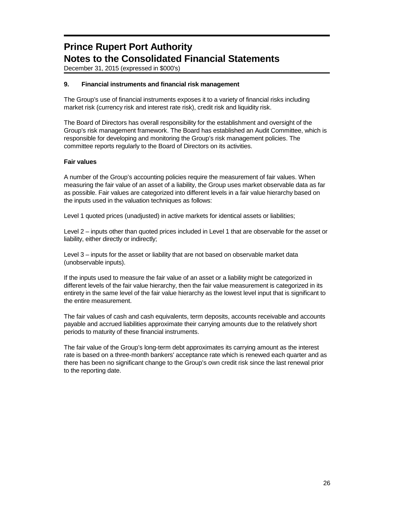December 31, 2015 (expressed in \$000's)

# **9. Financial instruments and financial risk management**

The Group's use of financial instruments exposes it to a variety of financial risks including market risk (currency risk and interest rate risk), credit risk and liquidity risk.

The Board of Directors has overall responsibility for the establishment and oversight of the Group's risk management framework. The Board has established an Audit Committee, which is responsible for developing and monitoring the Group's risk management policies. The committee reports regularly to the Board of Directors on its activities.

### **Fair values**

A number of the Group's accounting policies require the measurement of fair values. When measuring the fair value of an asset of a liability, the Group uses market observable data as far as possible. Fair values are categorized into different levels in a fair value hierarchy based on the inputs used in the valuation techniques as follows:

Level 1 quoted prices (unadjusted) in active markets for identical assets or liabilities;

Level 2 – inputs other than quoted prices included in Level 1 that are observable for the asset or liability, either directly or indirectly;

Level 3 – inputs for the asset or liability that are not based on observable market data (unobservable inputs).

If the inputs used to measure the fair value of an asset or a liability might be categorized in different levels of the fair value hierarchy, then the fair value measurement is categorized in its entirety in the same level of the fair value hierarchy as the lowest level input that is significant to the entire measurement.

The fair values of cash and cash equivalents, term deposits, accounts receivable and accounts payable and accrued liabilities approximate their carrying amounts due to the relatively short periods to maturity of these financial instruments.

The fair value of the Group's long-term debt approximates its carrying amount as the interest rate is based on a three-month bankers' acceptance rate which is renewed each quarter and as there has been no significant change to the Group's own credit risk since the last renewal prior to the reporting date.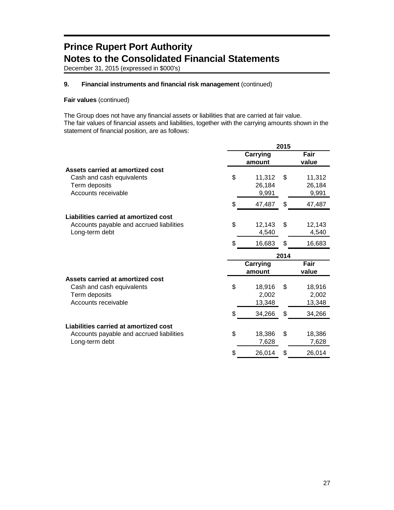December 31, 2015 (expressed in \$000's)

### **9. Financial instruments and financial risk management** (continued)

### **Fair values** (continued)

The Group does not have any financial assets or liabilities that are carried at fair value. The fair values of financial assets and liabilities, together with the carrying amounts shown in the statement of financial position, are as follows:

|                                          | 2015 |                           |      |               |  |
|------------------------------------------|------|---------------------------|------|---------------|--|
|                                          |      | <b>Carrying</b><br>amount |      | Fair<br>value |  |
| Assets carried at amortized cost         |      |                           |      |               |  |
| Cash and cash equivalents                | \$   | 11,312                    | \$   | 11,312        |  |
| Term deposits                            |      | 26,184                    |      | 26,184        |  |
| Accounts receivable                      |      | 9,991                     |      | 9,991         |  |
|                                          | \$.  | 47,487                    | \$   | 47,487        |  |
| Liabilities carried at amortized cost    |      |                           |      |               |  |
| Accounts payable and accrued liabilities | \$   | 12,143                    | \$   | 12,143        |  |
| Long-term debt                           |      | 4,540                     |      | 4,540         |  |
|                                          | \$   | 16,683                    | \$   | 16,683        |  |
|                                          |      |                           | 2014 |               |  |
|                                          |      | Carrying                  |      | Fair          |  |
|                                          |      | amount                    |      | value         |  |
| Assets carried at amortized cost         |      |                           |      |               |  |
| Cash and cash equivalents                | \$   | 18,916                    | \$   | 18,916        |  |
| Term deposits                            |      | 2,002                     |      | 2,002         |  |
| Accounts receivable                      |      | 13,348                    |      | 13,348        |  |
|                                          | \$   | 34,266                    | \$   | 34,266        |  |
| Liabilities carried at amortized cost    |      |                           |      |               |  |
| Accounts payable and accrued liabilities | \$   | 18,386                    | \$   | 18,386        |  |
| Long-term debt                           |      | 7,628                     |      | 7,628         |  |
|                                          | \$   | 26,014                    | \$   | 26,014        |  |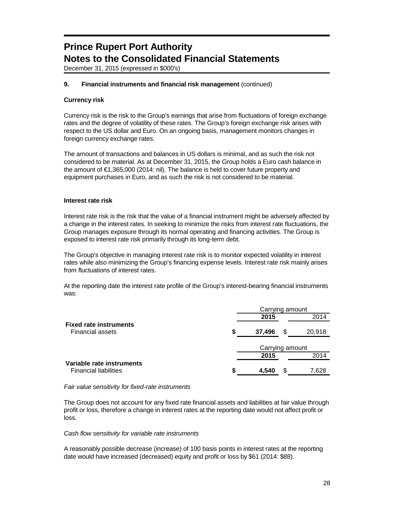December 31, 2015 (expressed in \$000's)

### **9. Financial instruments and financial risk management** (continued)

### **Currency risk**

Currency risk is the risk to the Group's earnings that arise from fluctuations of foreign exchange rates and the degree of volatility of these rates. The Group's foreign exchange risk arises with respect to the US dollar and Euro. On an ongoing basis, management monitors changes in foreign currency exchange rates.

The amount of transactions and balances in US dollars is minimal, and as such the risk not considered to be material. As at December 31, 2015, the Group holds a Euro cash balance in the amount of €1,365,000 (2014: nil). The balance is held to cover future property and equipment purchases in Euro, and as such the risk is not considered to be material.

### **Interest rate risk**

Interest rate risk is the risk that the value of a financial instrument might be adversely affected by a change in the interest rates. In seeking to minimize the risks from interest rate fluctuations, the Group manages exposure through its normal operating and financing activities. The Group is exposed to interest rate risk primarily through its long-term debt.

The Group's objective in managing interest rate risk is to monitor expected volatility in interest rates while also minimizing the Group's financing expense levels. Interest rate risk mainly arises from fluctuations of interest rates.

At the reporting date the interest rate profile of the Group's interest-bearing financial instruments was:

|                                                           |   | Carrying amount |   |        |
|-----------------------------------------------------------|---|-----------------|---|--------|
|                                                           |   | 2015            |   | 2014   |
| <b>Fixed rate instruments</b><br><b>Financial assets</b>  | S | 37,496          | S | 20,918 |
|                                                           |   | Carrying amount |   |        |
|                                                           |   | 2015            |   | 2014   |
| Variable rate instruments<br><b>Financial liabilities</b> | S | 4.540           | S | 7,628  |

#### *Fair value sensitivity for fixed-rate instruments*

The Group does not account for any fixed rate financial assets and liabilities at fair value through profit or loss, therefore a change in interest rates at the reporting date would not affect profit or loss.

### *Cash flow sensitivity for variable rate instruments*

A reasonably possible decrease (increase) of 100 basis points in interest rates at the reporting date would have increased (decreased) equity and profit or loss by \$61 (2014: \$88).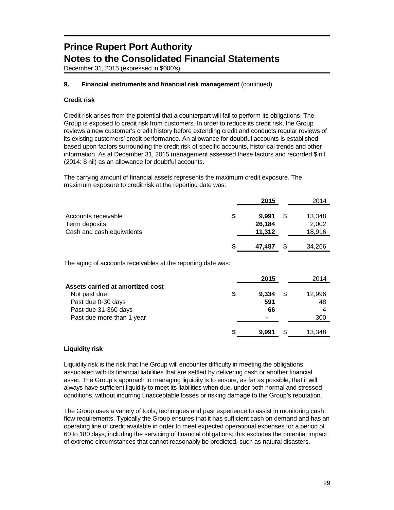December 31, 2015 (expressed in \$000's)

### **9. Financial instruments and financial risk management** (continued)

### **Credit risk**

Credit risk arises from the potential that a counterpart will fail to perform its obligations. The Group is exposed to credit risk from customers. In order to reduce its credit risk, the Group reviews a new customer's credit history before extending credit and conducts regular reviews of its existing customers' credit performance. An allowance for doubtful accounts is established based upon factors surrounding the credit risk of specific accounts, historical trends and other information. As at December 31, 2015 management assessed these factors and recorded \$ nil (2014: \$ nil) as an allowance for doubtful accounts.

The carrying amount of financial assets represents the maximum credit exposure. The maximum exposure to credit risk at the reporting date was:

|                           |   | 2015   |   | 2014   |
|---------------------------|---|--------|---|--------|
| Accounts receivable       | S | 9.991  | S | 13,348 |
| Term deposits             |   | 26,184 |   | 2,002  |
| Cash and cash equivalents |   | 11,312 |   | 18,916 |
|                           |   | 47.487 |   | 34,266 |

The aging of accounts receivables at the reporting date was:

|                                  |   | 2015           |    | 2014   |
|----------------------------------|---|----------------|----|--------|
| Assets carried at amortized cost |   |                |    |        |
| Not past due                     | S | 9,334          | \$ | 12,996 |
| Past due 0-30 days               |   | 591            |    | 48     |
| Past due 31-360 days             |   | 66             |    | 4      |
| Past due more than 1 year        |   | $\blacksquare$ |    | 300    |
|                                  | S | 9.991          | S  | 13,348 |

# **Liquidity risk**

Liquidity risk is the risk that the Group will encounter difficulty in meeting the obligations associated with its financial liabilities that are settled by delivering cash or another financial asset. The Group's approach to managing liquidity is to ensure, as far as possible, that it will always have sufficient liquidity to meet its liabilities when due, under both normal and stressed conditions, without incurring unacceptable losses or risking damage to the Group's reputation.

The Group uses a variety of tools, techniques and past experience to assist in monitoring cash flow requirements. Typically the Group ensures that it has sufficient cash on demand and has an operating line of credit available in order to meet expected operational expenses for a period of 60 to 180 days, including the servicing of financial obligations; this excludes the potential impact of extreme circumstances that cannot reasonably be predicted, such as natural disasters.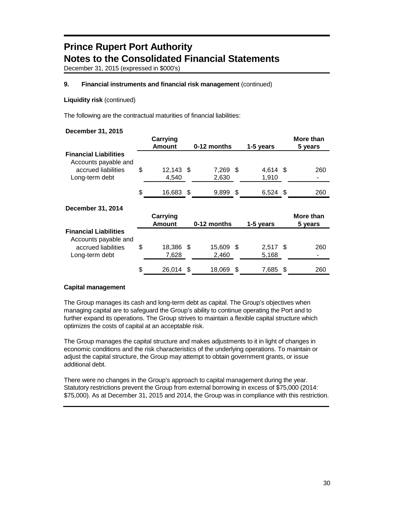December 31, 2015 (expressed in \$000's)

### **9. Financial instruments and financial risk management** (continued)

### **Liquidity risk** (continued)

The following are the contractual maturities of financial liabilities:

# **December 31, 2015**

|                                                      | Carrying<br><b>Amount</b>  | 0-12 months        | 1-5 years           | More than<br>5 years |
|------------------------------------------------------|----------------------------|--------------------|---------------------|----------------------|
| <b>Financial Liabilities</b><br>Accounts payable and |                            |                    |                     |                      |
| accrued liabilities<br>Long-term debt                | \$<br>$12,143$ \$<br>4,540 | 7,269 \$<br>2,630  | $4,614$ \$<br>1,910 | 260                  |
|                                                      | \$<br>16,683 \$            | $9,899$ \$         | $6,524$ \$          | 260                  |
| December 31, 2014                                    |                            |                    |                     |                      |
|                                                      | Carrying<br>Amount         | 0-12 months        | 1-5 years           | More than<br>5 years |
| <b>Financial Liabilities</b><br>Accounts payable and |                            |                    |                     |                      |
| accrued liabilities<br>Long-term debt                | \$<br>18,386 \$<br>7,628   | 15,609 \$<br>2,460 | $2,517$ \$<br>5,168 | 260                  |
|                                                      | \$<br>26,014 \$            | 18,069 \$          | 7,685 \$            | 260                  |

### **Capital management**

The Group manages its cash and long-term debt as capital. The Group's objectives when managing capital are to safeguard the Group's ability to continue operating the Port and to further expand its operations. The Group strives to maintain a flexible capital structure which optimizes the costs of capital at an acceptable risk.

The Group manages the capital structure and makes adjustments to it in light of changes in economic conditions and the risk characteristics of the underlying operations. To maintain or adjust the capital structure, the Group may attempt to obtain government grants, or issue additional debt.

There were no changes in the Group's approach to capital management during the year. Statutory restrictions prevent the Group from external borrowing in excess of \$75,000 (2014: \$75,000). As at December 31, 2015 and 2014, the Group was in compliance with this restriction.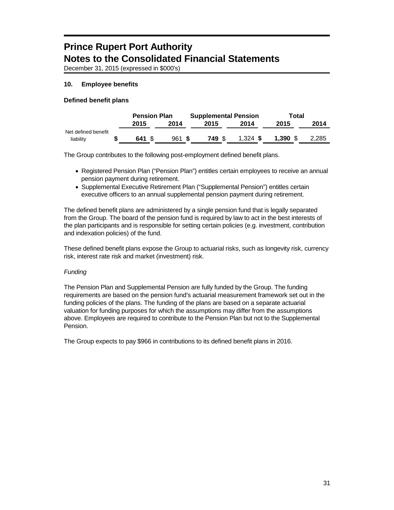December 31, 2015 (expressed in \$000's)

### **10. Employee benefits**

### **Defined benefit plans**

|                     | <b>Pension Plan</b> |          | <b>Supplemental Pension</b> |  |                                   | Total      |       |
|---------------------|---------------------|----------|-----------------------------|--|-----------------------------------|------------|-------|
|                     | 2015                | 2014     | 2015                        |  | 2014                              | 2015       | 2014  |
| Net defined benefit |                     |          |                             |  |                                   |            |       |
| liability           | 641 \$              | $961$ \$ | 749 S                       |  | 1.324 $\frac{\text{S}}{\text{S}}$ | $1.390$ \$ | 2.285 |

The Group contributes to the following post-employment defined benefit plans.

- Registered Pension Plan ("Pension Plan") entitles certain employees to receive an annual pension payment during retirement.
- Supplemental Executive Retirement Plan ("Supplemental Pension") entitles certain executive officers to an annual supplemental pension payment during retirement.

The defined benefit plans are administered by a single pension fund that is legally separated from the Group. The board of the pension fund is required by law to act in the best interests of the plan participants and is responsible for setting certain policies (e.g. investment, contribution and indexation policies) of the fund.

These defined benefit plans expose the Group to actuarial risks, such as longevity risk, currency risk, interest rate risk and market (investment) risk.

### *Funding*

The Pension Plan and Supplemental Pension are fully funded by the Group. The funding requirements are based on the pension fund's actuarial measurement framework set out in the funding policies of the plans. The funding of the plans are based on a separate actuarial valuation for funding purposes for which the assumptions may differ from the assumptions above. Employees are required to contribute to the Pension Plan but not to the Supplemental Pension.

The Group expects to pay \$966 in contributions to its defined benefit plans in 2016.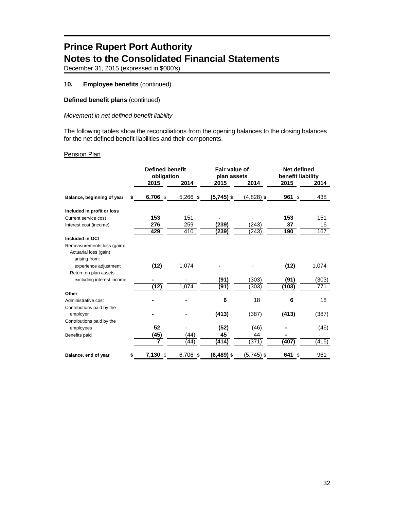December 31, 2015 (expressed in \$000's)

### **10. Employee benefits** (continued)

### **Defined benefit plans** (continued)

### *Movement in net defined benefit liability*

The following tables show the reconciliations from the opening balances to the closing balances for the net defined benefit liabilities and their components.

### **Pension Plan**

|                             |    | <b>Defined benefit</b><br>obligation<br>2015 | 2014       | <b>Fair value of</b><br>plan assets<br>2015 | 2014         | <b>Net defined</b><br>benefit liability<br>2015 | 2014  |
|-----------------------------|----|----------------------------------------------|------------|---------------------------------------------|--------------|-------------------------------------------------|-------|
| Balance, beginning of year  | S. | 6,706 $$$                                    | $5,266$ \$ | $(5,745)$ \$                                | $(4,828)$ \$ | $961$ \$                                        | 438   |
| Included in profit or loss  |    |                                              |            |                                             |              |                                                 |       |
| Current service cost        |    | 153                                          | 151        |                                             |              | 153                                             | 151   |
| Interest cost (income)      |    | 276                                          | 259        | (239)                                       | (243)        | 37                                              | 16    |
|                             |    | 429                                          | 410        | (239)                                       | (243)        | 190                                             | 167   |
| Included in OCI             |    |                                              |            |                                             |              |                                                 |       |
| Remeasurements loss (gain): |    |                                              |            |                                             |              |                                                 |       |
| Actuarial loss (gain)       |    |                                              |            |                                             |              |                                                 |       |
| arising from:               |    |                                              |            |                                             |              |                                                 |       |
| experience adjustment       |    | (12)                                         | 1,074      |                                             |              | (12)                                            | 1,074 |
| Return on plan assets       |    |                                              |            |                                             |              |                                                 |       |
| excluding interest income   |    |                                              |            | (91)                                        | (303)        | (91)                                            | (303) |
|                             |    | (12)                                         | 1,074      | (91)                                        | (303)        | (103)                                           | 771   |
| Other                       |    |                                              |            |                                             |              |                                                 |       |
| Administrative cost         |    |                                              |            | 6                                           | 18           | 6                                               | 18    |
| Contributions paid by the   |    |                                              |            |                                             |              |                                                 |       |
| employer                    |    |                                              |            | (413)                                       | (387)        | (413)                                           | (387) |
| Contributions paid by the   |    |                                              |            |                                             |              |                                                 |       |
| employees                   |    | 52                                           |            | (52)                                        | (46)         |                                                 | (46)  |
| Benefits paid               |    | (45)                                         | (44)       | 45                                          | 44           |                                                 |       |
|                             |    | $\overline{7}$                               | (44)       | (414)                                       | (371)        | (407)                                           | (415) |
| Balance, end of year        | S  | 7,130 \$                                     | 6,706 \$   | $(6,489)$ \$                                | $(5,745)$ \$ | $641$ \$                                        | 961   |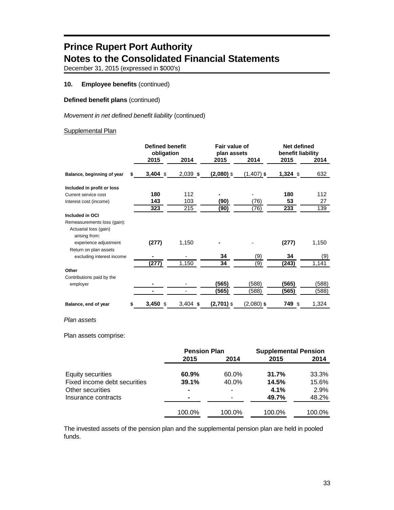December 31, 2015 (expressed in \$000's)

### **10. Employee benefits** (continued)

### **Defined benefit plans** (continued)

*Movement in net defined benefit liability* (continued)

#### **Supplemental Plan**

|                                                                       |    | <b>Defined benefit</b><br>obligation |            | Fair value of<br>plan assets |                  | Net defined<br>benefit liability |       |  |
|-----------------------------------------------------------------------|----|--------------------------------------|------------|------------------------------|------------------|----------------------------------|-------|--|
|                                                                       |    | 2015                                 | 2014       | 2015                         | 2014             | 2015                             | 2014  |  |
| Balance, beginning of year                                            | s  | $3,404$ \$                           | $2,039$ \$ | (2,080) \$                   | $(1,407)$ \$     | $1,324$ \$                       | 632   |  |
| Included in profit or loss                                            |    |                                      |            |                              |                  |                                  |       |  |
| Current service cost                                                  |    | 180                                  | 112        |                              |                  | 180                              | 112   |  |
| Interest cost (income)                                                |    | 143                                  | 103        | (90)                         | (76)             | 53                               | 27    |  |
|                                                                       |    | 323                                  | 215        | (90)                         | (76)             | 233                              | 139   |  |
| Included in OCI                                                       |    |                                      |            |                              |                  |                                  |       |  |
| Remeasurements loss (gain):<br>Actuarial loss (gain)<br>arising from: |    |                                      |            |                              |                  |                                  |       |  |
| experience adjustment                                                 |    | (277)                                | 1,150      |                              |                  | (277)                            | 1,150 |  |
| Return on plan assets<br>excluding interest income                    |    |                                      |            | 34                           | (9)              | 34                               | (9)   |  |
|                                                                       |    | (277)                                | 1,150      | 34                           | $\overline{(9)}$ | (243)                            | 1,141 |  |
| Other                                                                 |    |                                      |            |                              |                  |                                  |       |  |
| Contributions paid by the                                             |    |                                      |            |                              |                  |                                  |       |  |
| employer                                                              |    |                                      |            | (565)                        | (588)            | (565)                            | (588) |  |
|                                                                       |    |                                      |            | (565)                        | (588)            | (565)                            | (588) |  |
| Balance, end of year                                                  | \$ | $3,450$ \$                           | $3,404$ \$ | $(2,701)$ \$                 | (2,080) \$       | 749 \$                           | 1,324 |  |

#### *Plan assets*

Plan assets comprise:

|                              | <b>Pension Plan</b> |        | <b>Supplemental Pension</b> |        |
|------------------------------|---------------------|--------|-----------------------------|--------|
|                              | 2015                | 2014   | 2015                        | 2014   |
| Equity securities            | 60.9%               | 60.0%  | 31.7%                       | 33.3%  |
| Fixed income debt securities | 39.1%               | 40.0%  | 14.5%                       | 15.6%  |
| Other securities             | -                   |        | 4.1%                        | 2.9%   |
| Insurance contracts          | ۰                   |        | 49.7%                       | 48.2%  |
|                              | 100.0%              | 100.0% | 100.0%                      | 100.0% |

The invested assets of the pension plan and the supplemental pension plan are held in pooled funds.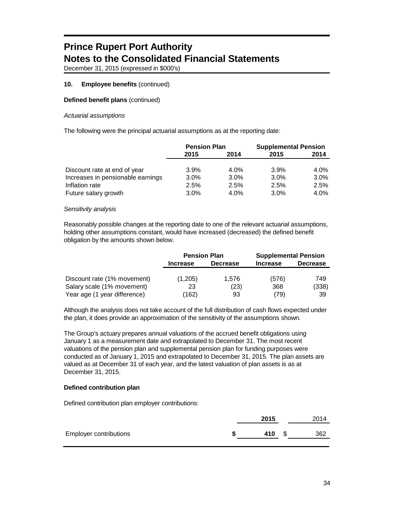December 31, 2015 (expressed in \$000's)

### **10. Employee benefits** (continued)

### **Defined benefit plans** (continued)

#### *Actuarial assumptions*

The following were the principal actuarial assumptions as at the reporting date:

|                                   | <b>Pension Plan</b> |      | <b>Supplemental Pension</b> |         |  |  |
|-----------------------------------|---------------------|------|-----------------------------|---------|--|--|
|                                   | 2015                | 2014 | 2015                        | 2014    |  |  |
| Discount rate at end of year      | 3.9%                | 4.0% | 3.9%                        | $4.0\%$ |  |  |
| Increases in pensionable earnings | 3.0%                | 3.0% | $3.0\%$                     | $3.0\%$ |  |  |
| Inflation rate                    | 2.5%                | 2.5% | 2.5%                        | 2.5%    |  |  |
| Future salary growth              | 3.0%                | 4.0% | $3.0\%$                     | $4.0\%$ |  |  |

### *Sensitivity analysis*

Reasonably possible changes at the reporting date to one of the relevant actuarial assumptions, holding other assumptions constant, would have increased (decreased) the defined benefit obligation by the amounts shown below.

|                              | <b>Pension Plan</b> |                 | <b>Supplemental Pension</b> |                 |  |  |
|------------------------------|---------------------|-----------------|-----------------------------|-----------------|--|--|
|                              | <b>Increase</b>     | <b>Decrease</b> | <b>Increase</b>             | <b>Decrease</b> |  |  |
|                              |                     |                 |                             |                 |  |  |
| Discount rate (1% movement)  | (1,205)             | 1.576           | (576)                       | 749             |  |  |
| Salary scale (1% movement)   | 23                  | (23)            | 368                         | (338)           |  |  |
| Year age (1 year difference) | (162)               | 93              | (79)                        | 39              |  |  |

Although the analysis does not take account of the full distribution of cash flows expected under the plan, it does provide an approximation of the sensitivity of the assumptions shown.

The Group's actuary prepares annual valuations of the accrued benefit obligations using January 1 as a measurement date and extrapolated to December 31. The most recent valuations of the pension plan and supplemental pension plan for funding purposes were conducted as of January 1, 2015 and extrapolated to December 31, 2015. The plan assets are valued as at December 31 of each year, and the latest valuation of plan assets is as at December 31, 2015.

### **Defined contribution plan**

Defined contribution plan employer contributions:

|                               | 2015 |      | 2014 |
|-------------------------------|------|------|------|
| <b>Employer contributions</b> | 410  | - \$ | 362  |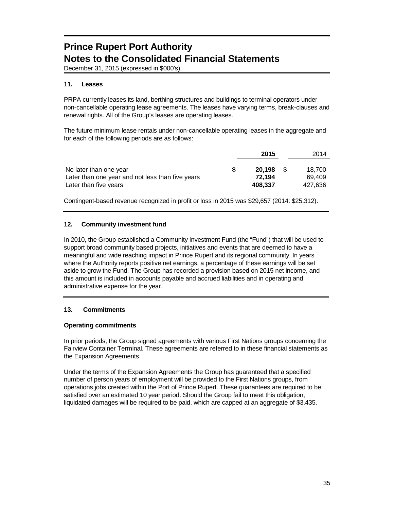December 31, 2015 (expressed in \$000's)

### **11. Leases**

PRPA currently leases its land, berthing structures and buildings to terminal operators under non-cancellable operating lease agreements. The leases have varying terms, break-clauses and renewal rights. All of the Group's leases are operating leases.

The future minimum lease rentals under non-cancellable operating leases in the aggregate and for each of the following periods are as follows:

|                                                                                                     |    | 2015                        |      | 2014                        |
|-----------------------------------------------------------------------------------------------------|----|-----------------------------|------|-----------------------------|
| No later than one year<br>Later than one year and not less than five years<br>Later than five years | S. | 20.198<br>72.194<br>408.337 | - \$ | 18.700<br>69.409<br>427.636 |

Contingent-based revenue recognized in profit or loss in 2015 was \$29,657 (2014: \$25,312).

### **12. Community investment fund**

In 2010, the Group established a Community Investment Fund (the "Fund") that will be used to support broad community based projects, initiatives and events that are deemed to have a meaningful and wide reaching impact in Prince Rupert and its regional community. In years where the Authority reports positive net earnings, a percentage of these earnings will be set aside to grow the Fund. The Group has recorded a provision based on 2015 net income, and this amount is included in accounts payable and accrued liabilities and in operating and administrative expense for the year.

# **13. Commitments**

### **Operating commitments**

In prior periods, the Group signed agreements with various First Nations groups concerning the Fairview Container Terminal. These agreements are referred to in these financial statements as the Expansion Agreements.

Under the terms of the Expansion Agreements the Group has guaranteed that a specified number of person years of employment will be provided to the First Nations groups, from operations jobs created within the Port of Prince Rupert. These guarantees are required to be satisfied over an estimated 10 year period. Should the Group fail to meet this obligation, liquidated damages will be required to be paid, which are capped at an aggregate of \$3,435.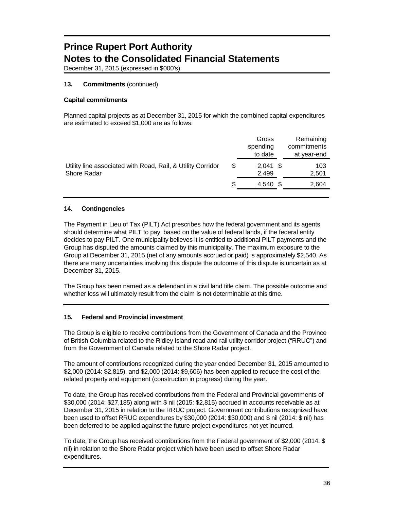December 31, 2015 (expressed in \$000's)

### **13. Commitments** (continued)

### **Capital commitments**

Planned capital projects as at December 31, 2015 for which the combined capital expenditures are estimated to exceed \$1,000 are as follows:

|                                                                                   |   | Gross<br>spending | Remaining<br>commitments |
|-----------------------------------------------------------------------------------|---|-------------------|--------------------------|
|                                                                                   |   | to date           | at year-end              |
| Utility line associated with Road, Rail, & Utility Corridor<br><b>Shore Radar</b> | S | 2.041 S<br>2.499  | 103<br>2,501             |
|                                                                                   | S | 4.540             | 2,604                    |
|                                                                                   |   |                   |                          |

### **14. Contingencies**

The Payment in Lieu of Tax (PILT) Act prescribes how the federal government and its agents should determine what PILT to pay, based on the value of federal lands, if the federal entity decides to pay PILT. One municipality believes it is entitled to additional PILT payments and the Group has disputed the amounts claimed by this municipality. The maximum exposure to the Group at December 31, 2015 (net of any amounts accrued or paid) is approximately \$2,540. As there are many uncertainties involving this dispute the outcome of this dispute is uncertain as at December 31, 2015.

The Group has been named as a defendant in a civil land title claim. The possible outcome and whether loss will ultimately result from the claim is not determinable at this time.

# **15. Federal and Provincial investment**

The Group is eligible to receive contributions from the Government of Canada and the Province of British Columbia related to the Ridley Island road and rail utility corridor project ("RRUC") and from the Government of Canada related to the Shore Radar project.

The amount of contributions recognized during the year ended December 31, 2015 amounted to \$2,000 (2014: \$2,815), and \$2,000 (2014: \$9,606) has been applied to reduce the cost of the related property and equipment (construction in progress) during the year.

To date, the Group has received contributions from the Federal and Provincial governments of \$30,000 (2014: \$27,185) along with \$ nil (2015: \$2,815) accrued in accounts receivable as at December 31, 2015 in relation to the RRUC project. Government contributions recognized have been used to offset RRUC expenditures by \$30,000 (2014: \$30,000) and \$ nil (2014: \$ nil) has been deferred to be applied against the future project expenditures not yet incurred.

To date, the Group has received contributions from the Federal government of \$2,000 (2014: \$ nil) in relation to the Shore Radar project which have been used to offset Shore Radar expenditures.